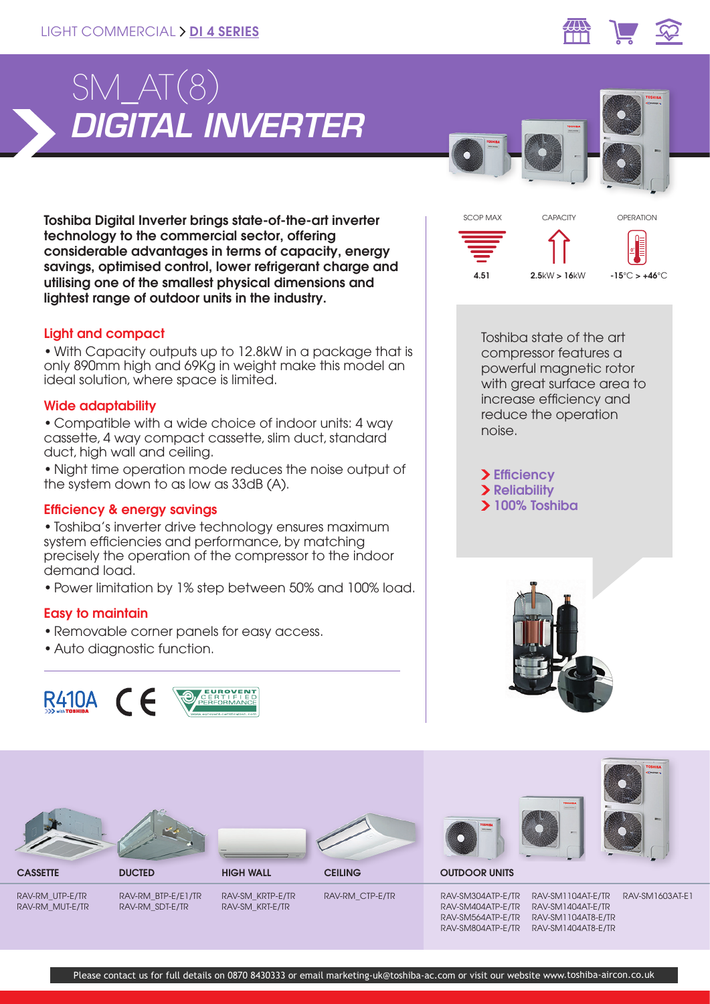

SCOP MAX CAPACITY



**0 °**

OPERATION

Toshiba Digital Inverter brings state-of-the-art inverter technology to the commercial sector, offering considerable advantages in terms of capacity, energy savings, optimised control, lower refrigerant charge and utilising one of the smallest physical dimensions and lightest range of outdoor units in the industry.

# Light and compact

• With Capacity outputs up to 12.8kW in a package that is only 890mm high and 69Kg in weight make this model an ideal solution, where space is limited.

# Wide adaptability

• Compatible with a wide choice of indoor units: 4 way cassette, 4 way compact cassette, slim duct, standard duct, high wall and ceiling.

• Night time operation mode reduces the noise output of the system down to as low as 33dB (A).

### Efficiency & energy savings

• Toshiba's inverter drive technology ensures maximum system efficiencies and performance, by matching precisely the operation of the compressor to the indoor demand load.

• Power limitation by 1% step between 50% and 100% load.

# Easy to maintain

- Removable corner panels for easy access.
- Auto diagnostic function.



Toshiba state of the art compressor features a powerful magnetic rotor with great surface area to increase efficiency and reduce the operation noise.

 $4.51$  2.5kW > 16kW -15°C > +46°C

> Efficiency > Reliability 100% Toshiba







**CASSETTE DUCTED HIGH WALL CEILING** 





RAV-RM\_CTP-E/TR







RAV-RM\_UTP-E/TR RAV-RM\_MUT-E/TR RAV-RM\_BTP-E/E1/TR RAV-RM\_SDT-E/TR

RAV-SM\_KRTP-E/TR RAV-SM\_KRT-E/TR

RAV-SM304ATP-E/TR RAV-SM404ATP-E/TR RAV-SM564ATP-E/TR RAV-SM804ATP-E/TR

RAV-SM1104AT-E/TR RAV-SM1404AT-E/TR RAV-SM1104AT8-E/TR RAV-SM1404AT8-E/TR

RAV-SM1603AT-E1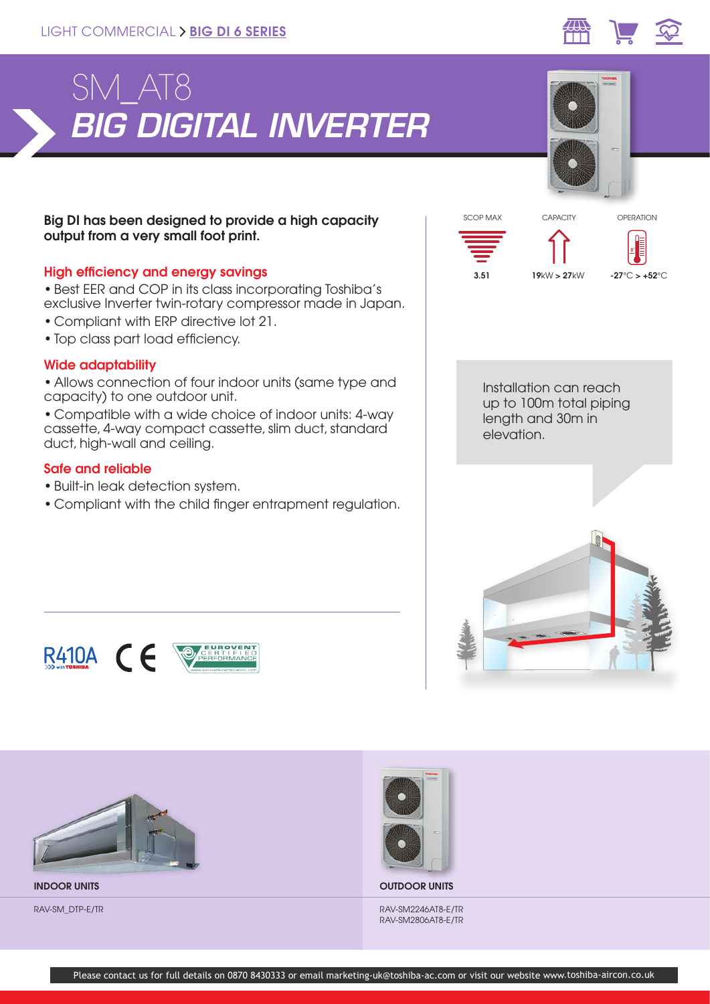



# Big DI has been designed to provide a high capacity output from a very small foot print.

# High efficiency and energy savings

• Best EER and COP in its class incorporating Toshiba's exclusive Inverter twin-rotary compressor made in Japan.

- Compliant with ERP directive lot 21.
- Top class part load efficiency.

### Wide adaptability

• Allows connection of four indoor units (same type and capacity) to one outdoor unit.

• Compatible with a wide choice of indoor units: 4-way cassette, 4-way compact cassette, slim duct, standard duct, high-wall and ceiling.

#### Safe and reliable

- Built-in leak detection system.
- Compliant with the child finger entrapment regulation.









INDOOR UNITS OUTDOOR UNITS

RAV-SM\_DTP-E/TR RAV-SM2246AT8-E/TR RAV-SM2806AT8-E/TR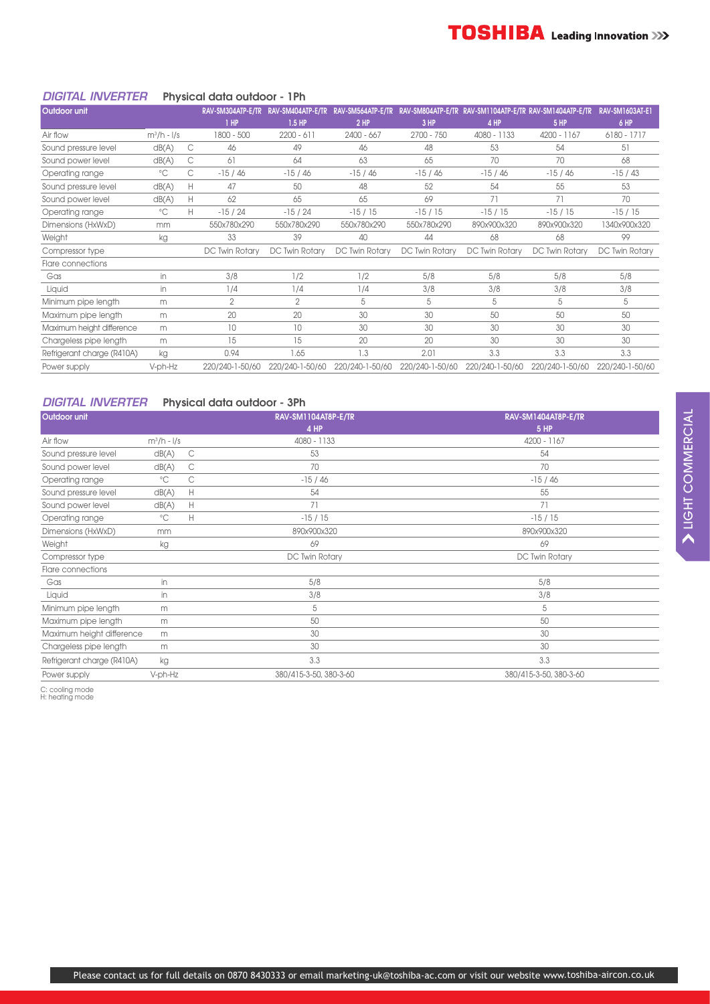#### *DIGITAL INVERTER* Physical data outdoor - 1Ph

| <b>Outdoor unit</b>        |               |    | RAV-SM304ATP-E/TR | RAV-SM404ATP-E/TR | RAV-SM564ATP-E/TR |                 |                 | RAV-SM804ATP-E/TR RAV-SM1104ATP-E/TR RAV-SM1404ATP-E/TR | <b>RAV-SM1603AT-E1</b> |
|----------------------------|---------------|----|-------------------|-------------------|-------------------|-----------------|-----------------|---------------------------------------------------------|------------------------|
|                            |               |    | $1$ HP            | $1.5$ HP          | $2$ HP            | $3$ HP          | 4 HP            | <b>5 HP</b>                                             | 6 HP                   |
| Air flow                   | $m^3/h - 1/s$ |    | 1800 - 500        | $2200 - 611$      | $2400 - 667$      | $2700 - 750$    | 4080 - 1133     | 4200 - 1167                                             | 6180 - 1717            |
| Sound pressure level       | dB(A)         | C  | 46                | 49                | 46                | 48              | 53              | 54                                                      | 51                     |
| Sound power level          | dB(A)         | С  | 61                | 64                | 63                | 65              | 70              | 70                                                      | 68                     |
| Operating range            | $^{\circ}$ C  | C  | $-15/46$          | $-15/46$          | $-15/46$          | $-15/46$        | $-15/46$        | $-15/46$                                                | $-15/43$               |
| Sound pressure level       | dB(A)         | н  | 47                | 50                | 48                | 52              | 54              | 55                                                      | 53                     |
| Sound power level          | dB(A)         | H. | 62                | 65                | 65                | 69              | 71              | 71                                                      | 70                     |
| Operating range            | $^{\circ}$ C  | H. | $-15/24$          | $-15/24$          | $-15/15$          | $-15/15$        | $-15/15$        | $-15/15$                                                | $-15/15$               |
| Dimensions (HxWxD)         | mm            |    | 550x780x290       | 550x780x290       | 550x780x290       | 550x780x290     | 890x900x320     | 890x900x320                                             | 1340x900x320           |
| Weight                     | kg            |    | 33                | 39                | 40                | 44              | 68              | 68                                                      | 99                     |
| Compressor type            |               |    | DC Twin Rotary    | DC Twin Rotary    | DC Twin Rotary    | DC Twin Rotary  | DC Twin Rotary  | DC Twin Rotary                                          | DC Twin Rotary         |
| Flare connections          |               |    |                   |                   |                   |                 |                 |                                                         |                        |
| Gas                        | in.           |    | 3/8               | 1/2               | 1/2               | 5/8             | 5/8             | 5/8                                                     | 5/8                    |
| Liquid                     | in            |    | 1/4               | 1/4               | 1/4               | 3/8             | 3/8             | 3/8                                                     | 3/8                    |
| Minimum pipe length        | m             |    | $\overline{2}$    | 2                 | 5                 | 5               | 5               | 5                                                       | 5                      |
| Maximum pipe length        | m             |    | 20                | 20                | 30                | 30              | 50              | 50                                                      | 50                     |
| Maximum height difference  | m             |    | 10                | 10                | 30                | 30              | 30              | 30                                                      | 30                     |
| Chargeless pipe length     | m             |    | 15                | 15                | 20                | 20              | 30              | 30                                                      | 30                     |
| Refrigerant charge (R410A) | kg            |    | 0.94              | 1.65              | 1.3               | 2.01            | 3.3             | 3.3                                                     | 3.3                    |
| Power supply               | V-ph-Hz       |    | 220/240-1-50/60   | 220/240-1-50/60   | 220/240-1-50/60   | 220/240-1-50/60 | 220/240-1-50/60 | 220/240-1-50/60                                         | 220/240-1-50/60        |

#### *DIGITAL INVERTER* Physical data outdoor - 3Ph

| Outdoor unit               |               |              | RAV-SM1104AT8P-E/TR<br>4 HP | RAV-SM1404AT8P-E/TR<br><b>5 HP</b> |
|----------------------------|---------------|--------------|-----------------------------|------------------------------------|
| Air flow                   | $m^3/h - 1/s$ |              | 4080 - 1133                 | 4200 - 1167                        |
| Sound pressure level       | dB(A)         | C            | 53                          | 54                                 |
| Sound power level          | dB(A)         | C            | 70                          | 70                                 |
| Operating range            | $^{\circ}$ C  | С            | $-15/46$                    | $-15/46$                           |
| Sound pressure level       | dB(A)         | H            | 54                          | 55                                 |
| Sound power level          | dB(A)         | Н            | 71                          | 71                                 |
| Operating range            | $^{\circ}$ C  | $\mathsf{H}$ | $-15/15$                    | $-15/15$                           |
| Dimensions (HxWxD)         | mm            |              | 890x900x320                 | 890x900x320                        |
| Weight                     | kg            |              | 69                          | 69                                 |
| Compressor type            |               |              | DC Twin Rotary              | DC Twin Rotary                     |
| Flare connections          |               |              |                             |                                    |
| Gas                        | in            |              | 5/8                         | 5/8                                |
| Liquid                     | in.           |              | 3/8                         | 3/8                                |
| Minimum pipe length        | m             |              | 5                           | 5                                  |
| Maximum pipe length        | m             |              | 50                          | 50                                 |
| Maximum height difference  | m             |              | 30                          | 30                                 |
| Chargeless pipe length     | m             |              | 30                          | 30                                 |
| Refrigerant charge (R410A) | kg            |              | 3.3                         | 3.3                                |
| Power supply               | V-ph-Hz       |              | 380/415-3-50, 380-3-60      | 380/415-3-50, 380-3-60             |

C: cooling mode H: heating mode